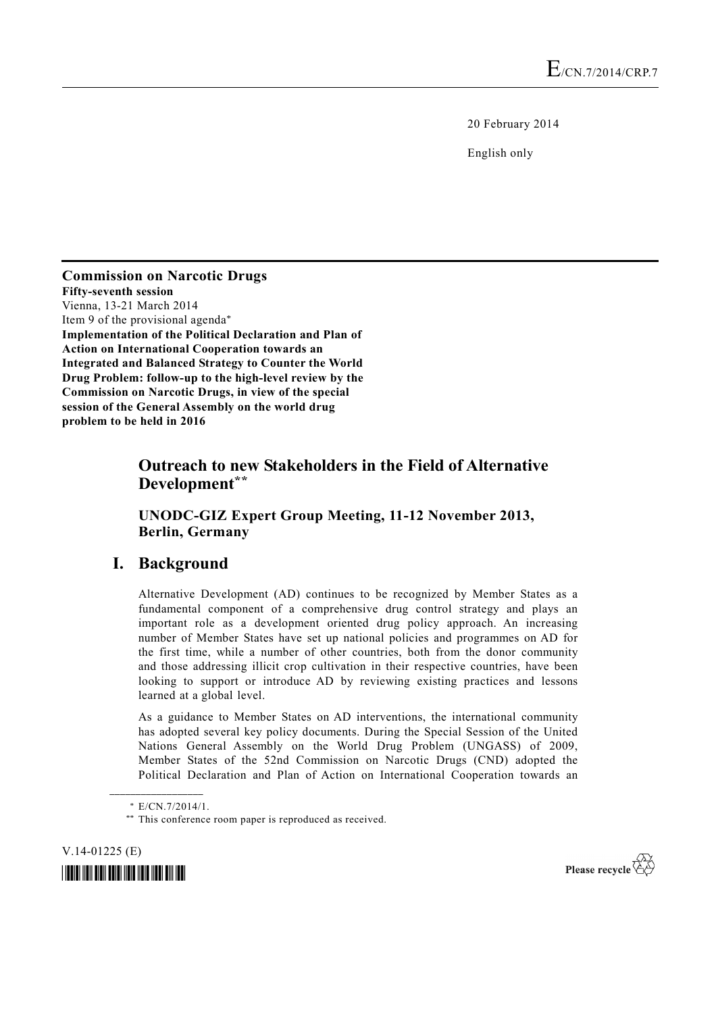20 February 2014

English only

### **Commission on Narcotic Drugs Fifty-seventh session**  Vienna, 13-21 March 2014 Item 9 of the provisional agenda\* **Implementation of the Political Declaration and Plan of Action on International Cooperation towards an Integrated and Balanced Strategy to Counter the World Drug Problem: follow-up to the high-level review by the Commission on Narcotic Drugs, in view of the special session of the General Assembly on the world drug problem to be held in 2016**

# **Outreach to new Stakeholders in the Field of Alternative Development\*\***

### **UNODC-GIZ Expert Group Meeting, 11-12 November 2013, Berlin, Germany**

# **I. Background**

Alternative Development (AD) continues to be recognized by Member States as a fundamental component of a comprehensive drug control strategy and plays an important role as a development oriented drug policy approach. An increasing number of Member States have set up national policies and programmes on AD for the first time, while a number of other countries, both from the donor community and those addressing illicit crop cultivation in their respective countries, have been looking to support or introduce AD by reviewing existing practices and lessons learned at a global level.

As a guidance to Member States on AD interventions, the international community has adopted several key policy documents. During the Special Session of the United Nations General Assembly on the World Drug Problem (UNGASS) of 2009, Member States of the 52nd Commission on Narcotic Drugs (CND) adopted the Political Declaration and Plan of Action on International Cooperation towards an

**\_\_\_\_\_\_\_\_\_\_\_\_\_\_\_\_\_\_** 

V.14-01225 (E)





 <sup>\*</sup> E/CN.7/2014/1. \*\* This conference room paper is reproduced as received.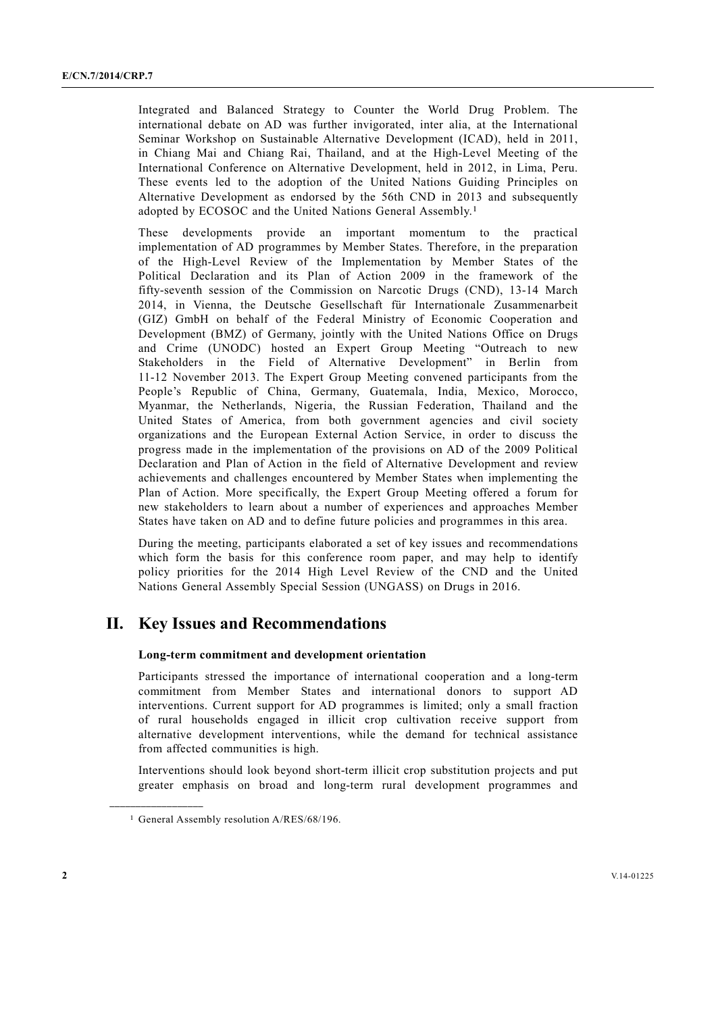Integrated and Balanced Strategy to Counter the World Drug Problem. The international debate on AD was further invigorated, inter alia, at the International Seminar Workshop on Sustainable Alternative Development (ICAD), held in 2011, in Chiang Mai and Chiang Rai, Thailand, and at the High-Level Meeting of the International Conference on Alternative Development, held in 2012, in Lima, Peru. These events led to the adoption of the United Nations Guiding Principles on Alternative Development as endorsed by the 56th CND in 2013 and subsequently adopted by ECOSOC and the United Nations General Assembly.1

These developments provide an important momentum to the practical implementation of AD programmes by Member States. Therefore, in the preparation of the High-Level Review of the Implementation by Member States of the Political Declaration and its Plan of Action 2009 in the framework of the fifty-seventh session of the Commission on Narcotic Drugs (CND), 13-14 March 2014, in Vienna, the Deutsche Gesellschaft für Internationale Zusammenarbeit (GIZ) GmbH on behalf of the Federal Ministry of Economic Cooperation and Development (BMZ) of Germany, jointly with the United Nations Office on Drugs and Crime (UNODC) hosted an Expert Group Meeting "Outreach to new Stakeholders in the Field of Alternative Development" in Berlin from 11-12 November 2013. The Expert Group Meeting convened participants from the People's Republic of China, Germany, Guatemala, India, Mexico, Morocco, Myanmar, the Netherlands, Nigeria, the Russian Federation, Thailand and the United States of America, from both government agencies and civil society organizations and the European External Action Service, in order to discuss the progress made in the implementation of the provisions on AD of the 2009 Political Declaration and Plan of Action in the field of Alternative Development and review achievements and challenges encountered by Member States when implementing the Plan of Action. More specifically, the Expert Group Meeting offered a forum for new stakeholders to learn about a number of experiences and approaches Member States have taken on AD and to define future policies and programmes in this area.

During the meeting, participants elaborated a set of key issues and recommendations which form the basis for this conference room paper, and may help to identify policy priorities for the 2014 High Level Review of the CND and the United Nations General Assembly Special Session (UNGASS) on Drugs in 2016.

# **II. Key Issues and Recommendations**

### **Long-term commitment and development orientation**

Participants stressed the importance of international cooperation and a long-term commitment from Member States and international donors to support AD interventions. Current support for AD programmes is limited; only a small fraction of rural households engaged in illicit crop cultivation receive support from alternative development interventions, while the demand for technical assistance from affected communities is high.

Interventions should look beyond short-term illicit crop substitution projects and put greater emphasis on broad and long-term rural development programmes and

**\_\_\_\_\_\_\_\_\_\_\_\_\_\_\_\_\_\_** 

<sup>&</sup>lt;sup>1</sup> General Assembly resolution A/RES/68/196.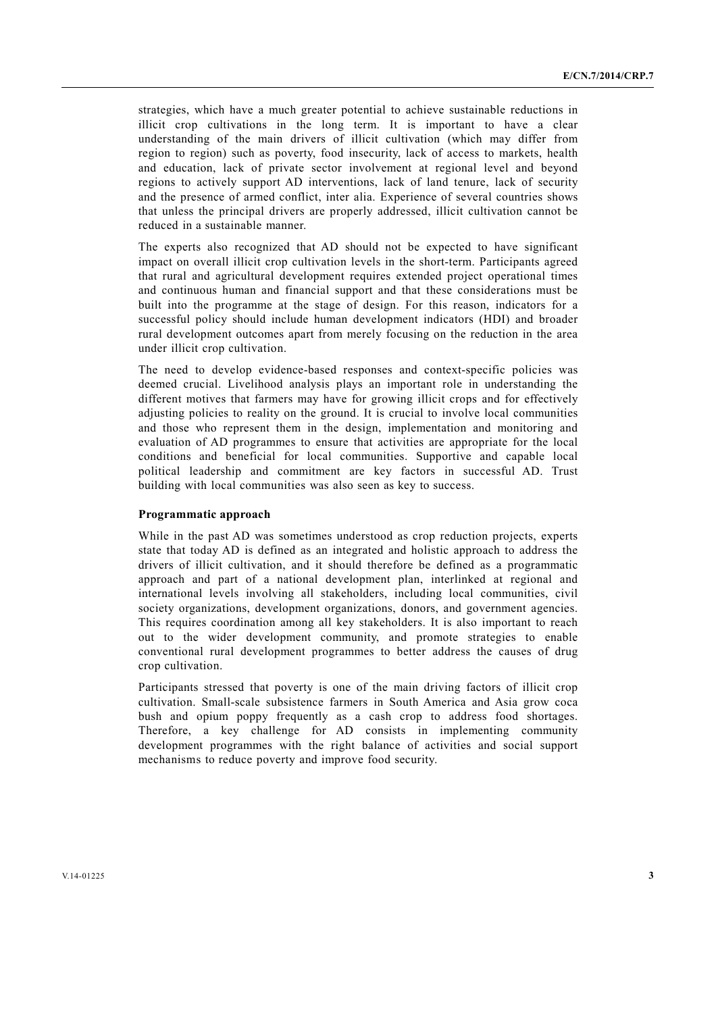strategies, which have a much greater potential to achieve sustainable reductions in illicit crop cultivations in the long term. It is important to have a clear understanding of the main drivers of illicit cultivation (which may differ from region to region) such as poverty, food insecurity, lack of access to markets, health and education, lack of private sector involvement at regional level and beyond regions to actively support AD interventions, lack of land tenure, lack of security and the presence of armed conflict, inter alia. Experience of several countries shows that unless the principal drivers are properly addressed, illicit cultivation cannot be reduced in a sustainable manner.

The experts also recognized that AD should not be expected to have significant impact on overall illicit crop cultivation levels in the short-term. Participants agreed that rural and agricultural development requires extended project operational times and continuous human and financial support and that these considerations must be built into the programme at the stage of design. For this reason, indicators for a successful policy should include human development indicators (HDI) and broader rural development outcomes apart from merely focusing on the reduction in the area under illicit crop cultivation.

The need to develop evidence-based responses and context-specific policies was deemed crucial. Livelihood analysis plays an important role in understanding the different motives that farmers may have for growing illicit crops and for effectively adjusting policies to reality on the ground. It is crucial to involve local communities and those who represent them in the design, implementation and monitoring and evaluation of AD programmes to ensure that activities are appropriate for the local conditions and beneficial for local communities. Supportive and capable local political leadership and commitment are key factors in successful AD. Trust building with local communities was also seen as key to success.

#### **Programmatic approach**

While in the past AD was sometimes understood as crop reduction projects, experts state that today AD is defined as an integrated and holistic approach to address the drivers of illicit cultivation, and it should therefore be defined as a programmatic approach and part of a national development plan, interlinked at regional and international levels involving all stakeholders, including local communities, civil society organizations, development organizations, donors, and government agencies. This requires coordination among all key stakeholders. It is also important to reach out to the wider development community, and promote strategies to enable conventional rural development programmes to better address the causes of drug crop cultivation.

Participants stressed that poverty is one of the main driving factors of illicit crop cultivation. Small-scale subsistence farmers in South America and Asia grow coca bush and opium poppy frequently as a cash crop to address food shortages. Therefore, a key challenge for AD consists in implementing community development programmes with the right balance of activities and social support mechanisms to reduce poverty and improve food security.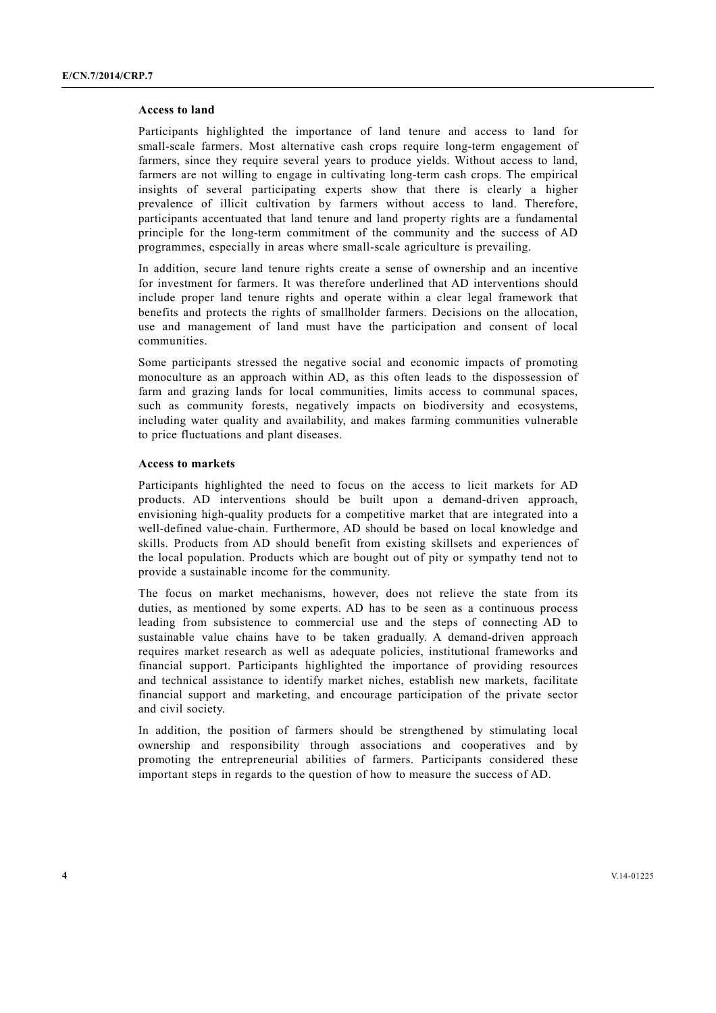#### **Access to land**

Participants highlighted the importance of land tenure and access to land for small-scale farmers. Most alternative cash crops require long-term engagement of farmers, since they require several years to produce yields. Without access to land, farmers are not willing to engage in cultivating long-term cash crops. The empirical insights of several participating experts show that there is clearly a higher prevalence of illicit cultivation by farmers without access to land. Therefore, participants accentuated that land tenure and land property rights are a fundamental principle for the long-term commitment of the community and the success of AD programmes, especially in areas where small-scale agriculture is prevailing.

In addition, secure land tenure rights create a sense of ownership and an incentive for investment for farmers. It was therefore underlined that AD interventions should include proper land tenure rights and operate within a clear legal framework that benefits and protects the rights of smallholder farmers. Decisions on the allocation, use and management of land must have the participation and consent of local communities.

Some participants stressed the negative social and economic impacts of promoting monoculture as an approach within AD, as this often leads to the dispossession of farm and grazing lands for local communities, limits access to communal spaces, such as community forests, negatively impacts on biodiversity and ecosystems, including water quality and availability, and makes farming communities vulnerable to price fluctuations and plant diseases.

#### **Access to markets**

Participants highlighted the need to focus on the access to licit markets for AD products. AD interventions should be built upon a demand-driven approach, envisioning high-quality products for a competitive market that are integrated into a well-defined value-chain. Furthermore, AD should be based on local knowledge and skills. Products from AD should benefit from existing skillsets and experiences of the local population. Products which are bought out of pity or sympathy tend not to provide a sustainable income for the community.

The focus on market mechanisms, however, does not relieve the state from its duties, as mentioned by some experts. AD has to be seen as a continuous process leading from subsistence to commercial use and the steps of connecting AD to sustainable value chains have to be taken gradually. A demand-driven approach requires market research as well as adequate policies, institutional frameworks and financial support. Participants highlighted the importance of providing resources and technical assistance to identify market niches, establish new markets, facilitate financial support and marketing, and encourage participation of the private sector and civil society.

In addition, the position of farmers should be strengthened by stimulating local ownership and responsibility through associations and cooperatives and by promoting the entrepreneurial abilities of farmers. Participants considered these important steps in regards to the question of how to measure the success of AD.